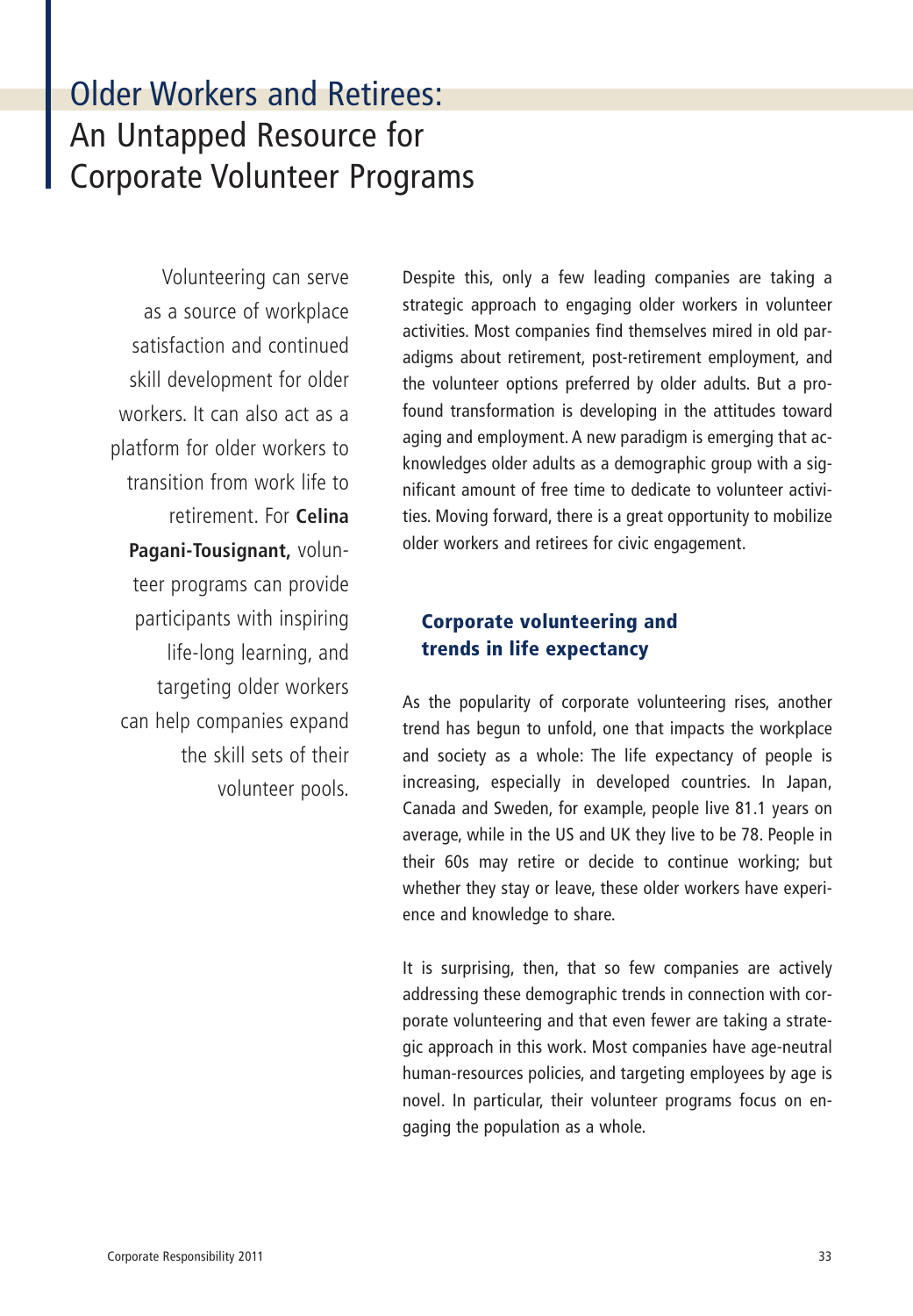# Older Workers and Retirees: An Untapped Resource for Corporate Volunteer Programs

Volunteering can serve as a source of workplace satisfaction and continued skill development for older workers. It can also act as a platform for older workers to transition from work life to retirement. For **Celina Pagani-Tousignant,** volunteer programs can provide participants with inspiring life-long learning, and targeting older workers can help companies expand the skill sets of their volunteer pools. Despite this, only a few leading companies are taking a strategic approach to engaging older workers in volunteer activities. Most companies find themselves mired in old paradigms about retirement, post-retirement employment, and the volunteer options preferred by older adults. But a profound transformation is developing in the attitudes toward aging and employment. A new paradigm is emerging that acknowledges older adults as a demographic group with a significant amount of free time to dedicate to volunteer activities. Moving forward, there is a great opportunity to mobilize older workers and retirees for civic engagement.

# **Corporate volunteering and trends in life expectancy**

As the popularity of corporate volunteering rises, another trend has begun to unfold, one that impacts the workplace and society as a whole: The life expectancy of people is increasing, especially in developed countries. In Japan, Canada and Sweden, for example, people live 81.1 years on average, while in the US and UK they live to be 78. People in their 60s may retire or decide to continue working; but whether they stay or leave, these older workers have experience and knowledge to share.

It is surprising, then, that so few companies are actively addressing these demographic trends in connection with corporate volunteering and that even fewer are taking a strategic approach in this work. Most companies have age-neutral human-resources policies, and targeting employees by age is novel. In particular, their volunteer programs focus on engaging the population as a whole.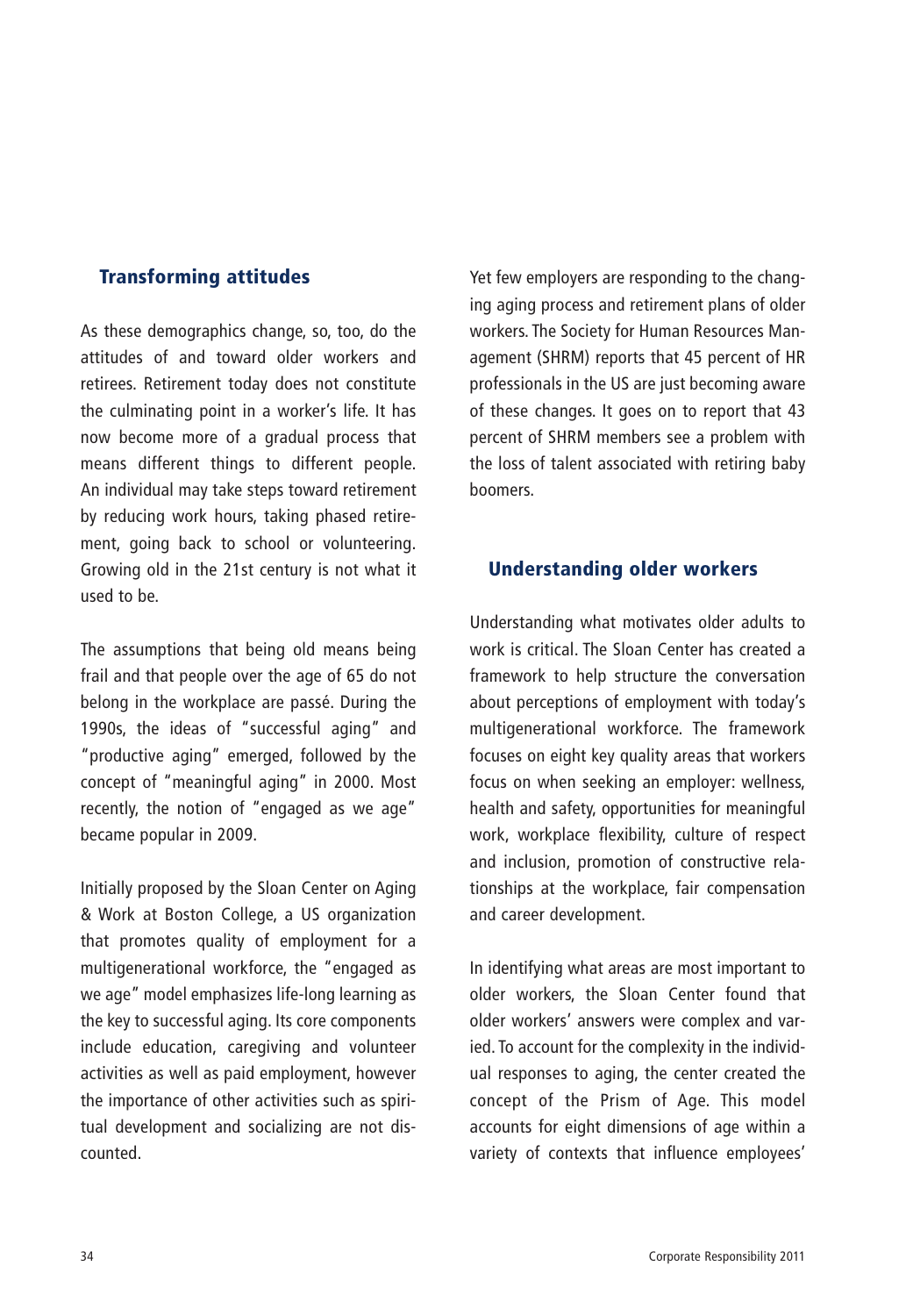# **Transforming attitudes**

As these demographics change, so, too, do the attitudes of and toward older workers and retirees. Retirement today does not constitute the culminating point in a worker's life. It has now become more of a gradual process that means different things to different people. An individual may take steps toward retirement by reducing work hours, taking phased retirement, going back to school or volunteering. Growing old in the 21st century is not what it used to be.

The assumptions that being old means being frail and that people over the age of 65 do not belong in the workplace are passé. During the 1990s, the ideas of "successful aging" and "productive aging" emerged, followed by the concept of "meaningful aging" in 2000. Most recently, the notion of "engaged as we age" became popular in 2009.

Initially proposed by the Sloan Center on Aging & Work at Boston College, a US organization that promotes quality of employment for a multigenerational workforce, the "engaged as we age" model emphasizes life-long learning as the key to successful aging. Its core components include education, caregiving and volunteer activities as well as paid employment, however the importance of other activities such as spiritual development and socializing are not discounted.

Yet few employers are responding to the changing aging process and retirement plans of older workers. The Society for Human Resources Management (SHRM) reports that 45 percent of HR professionals in the US are just becoming aware of these changes. It goes on to report that 43 percent of SHRM members see a problem with the loss of talent associated with retiring baby boomers.

# **Understanding older workers**

Understanding what motivates older adults to work is critical. The Sloan Center has created a framework to help structure the conversation about perceptions of employment with today's multigenerational workforce. The framework focuses on eight key quality areas that workers focus on when seeking an employer: wellness, health and safety, opportunities for meaningful work, workplace flexibility, culture of respect and inclusion, promotion of constructive relationships at the workplace, fair compensation and career development.

In identifying what areas are most important to older workers, the Sloan Center found that older workers' answers were complex and varied. To account for the complexity in the individual responses to aging, the center created the concept of the Prism of Age. This model accounts for eight dimensions of age within a variety of contexts that influence employees'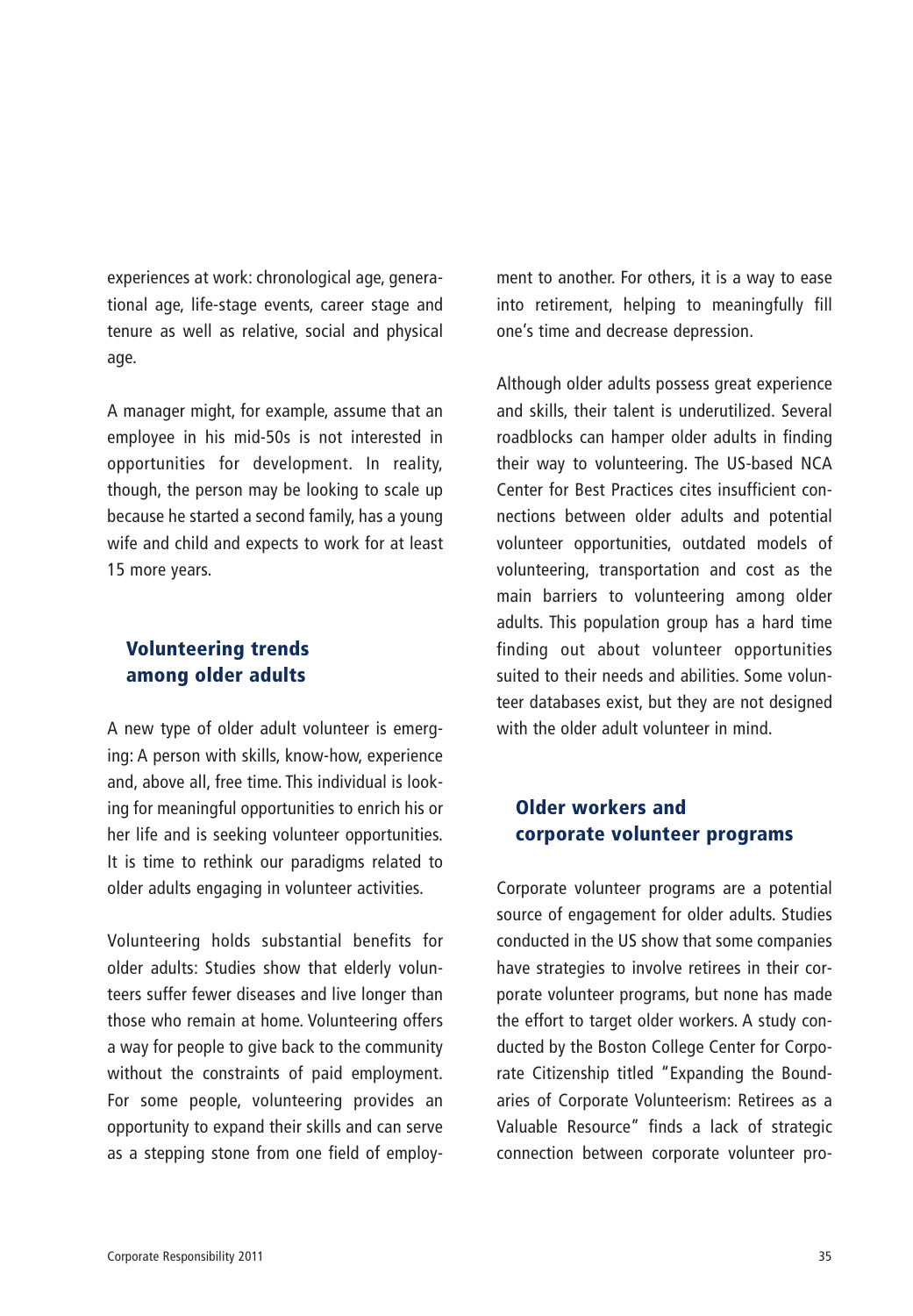experiences at work: chronological age, generational age, life-stage events, career stage and tenure as well as relative, social and physical age.

A manager might, for example, assume that an employee in his mid-50s is not interested in opportunities for development. In reality, though, the person may be looking to scale up because he started a second family, has a young wife and child and expects to work for at least 15 more years.

# **Volunteering trends among older adults**

A new type of older adult volunteer is emerging: A person with skills, know-how, experience and, above all, free time. This individual is looking for meaningful opportunities to enrich his or her life and is seeking volunteer opportunities. It is time to rethink our paradigms related to older adults engaging in volunteer activities.

Volunteering holds substantial benefits for older adults: Studies show that elderly volunteers suffer fewer diseases and live longer than those who remain at home. Volunteering offers a way for people to give back to the community without the constraints of paid employment. For some people, volunteering provides an opportunity to expand their skills and can serve as a stepping stone from one field of employment to another. For others, it is a way to ease into retirement, helping to meaningfully fill one's time and decrease depression.

Although older adults possess great experience and skills, their talent is underutilized. Several roadblocks can hamper older adults in finding their way to volunteering. The US-based NCA Center for Best Practices cites insufficient connections between older adults and potential volunteer opportunities, outdated models of volunteering, transportation and cost as the main barriers to volunteering among older adults. This population group has a hard time finding out about volunteer opportunities suited to their needs and abilities. Some volunteer databases exist, but they are not designed with the older adult volunteer in mind.

# **Older workers and corporate volunteer programs**

Corporate volunteer programs are a potential source of engagement for older adults. Studies conducted in the US show that some companies have strategies to involve retirees in their corporate volunteer programs, but none has made the effort to target older workers. A study conducted by the Boston College Center for Corporate Citizenship titled "Expanding the Boundaries of Corporate Volunteerism: Retirees as a Valuable Resource" finds a lack of strategic connection between corporate volunteer pro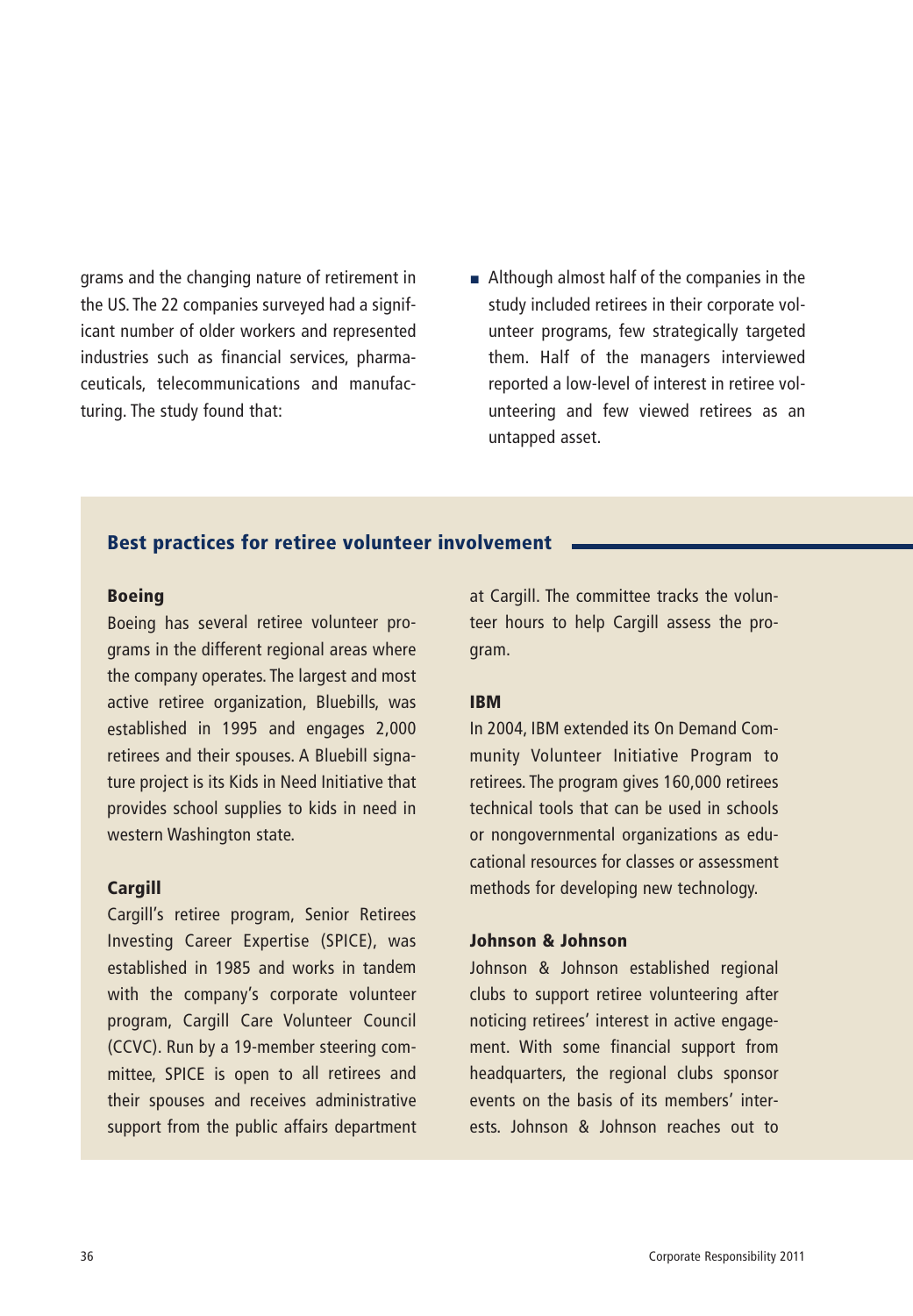grams and the changing nature of retirement in the US. The 22 companies surveyed had a significant number of older workers and represented industries such as financial services, pharmaceuticals, telecommunications and manufacturing. The study found that:

■ Although almost half of the companies in the study included retirees in their corporate volunteer programs, few strategically targeted them. Half of the managers interviewed reported a low-level of interest in retiree volunteering and few viewed retirees as an untapped asset.

# **Best practices for retiree volunteer involvement**

#### **Boeing**

Boeing has several retiree volunteer programs in the different regional areas where the company operates. The largest and most active retiree organization, Bluebills, was established in 1995 and engages 2,000 retirees and their spouses. A Bluebill signature project is its Kids in Need Initiative that provides school supplies to kids in need in western Washington state.

### **Cargill**

Cargill's retiree program, Senior Retirees Investing Career Expertise (SPICE), was established in 1985 and works in tandem with the company's corporate volunteer program, Cargill Care Volunteer Council (CCVC). Run by a 19-member steering committee, SPICE is open to all retirees and their spouses and receives administrative support from the public affairs department at Cargill. The committee tracks the volunteer hours to help Cargill assess the program.

#### **IBM**

In 2004, IBM extended its On Demand Community Volunteer Initiative Program to retirees. The program gives 160,000 retirees technical tools that can be used in schools or nongovernmental organizations as educational resources for classes or assessment methods for developing new technology.

## **Johnson & Johnson**

Johnson & Johnson established regional clubs to support retiree volunteering after noticing retirees' interest in active engagement. With some financial support from headquarters, the regional clubs sponsor events on the basis of its members' interests. Johnson & Johnson reaches out to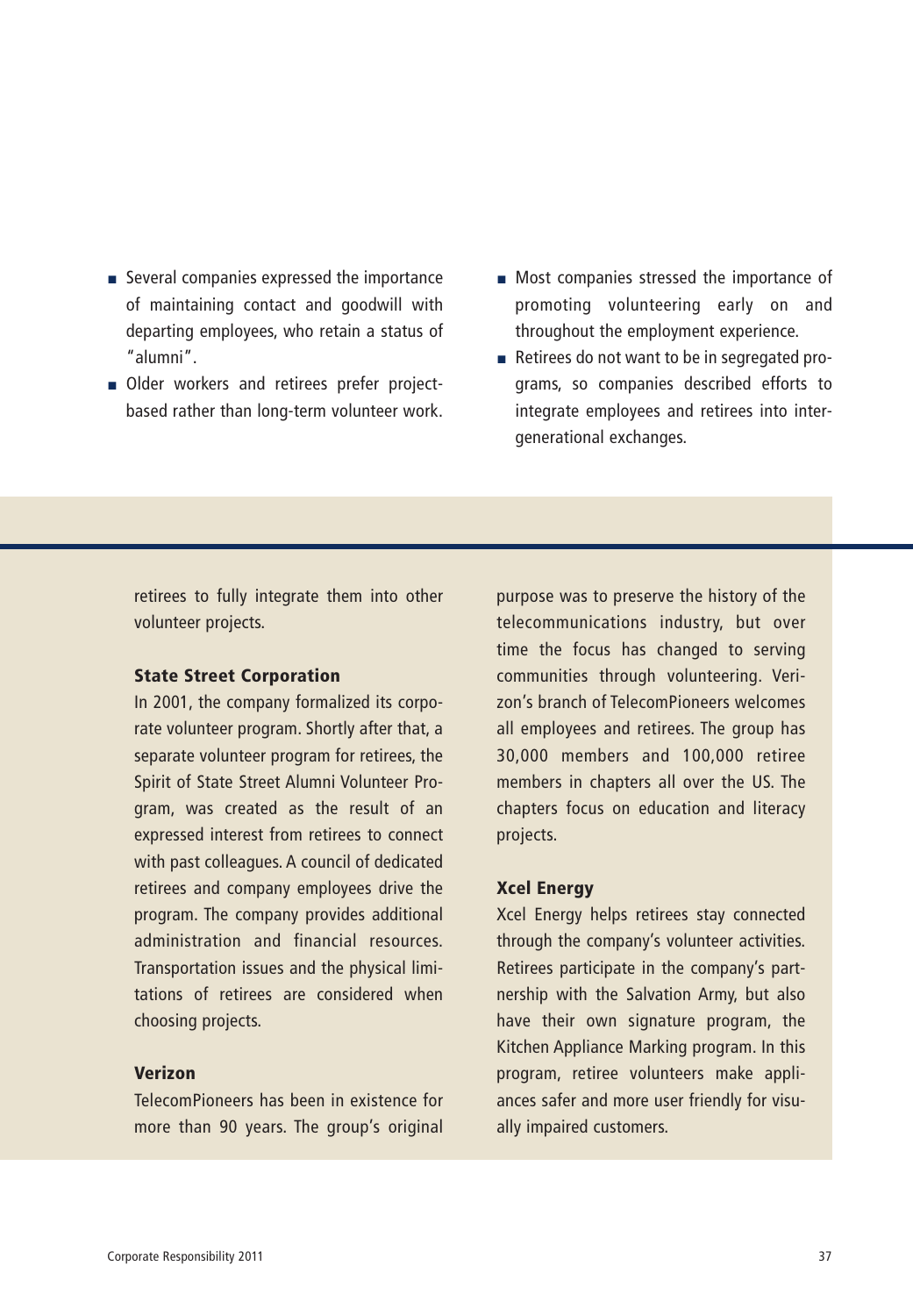- Several companies expressed the importance of maintaining contact and goodwill with departing employees, who retain a status of "alumni".
- Older workers and retirees prefer projectbased rather than long-term volunteer work.
- Most companies stressed the importance of promoting volunteering early on and throughout the employment experience.
- Retirees do not want to be in segregated programs, so companies described efforts to integrate employees and retirees into intergenerational exchanges.

retirees to fully integrate them into other volunteer projects.

## **State Street Corporation**

In 2001, the company formalized its corporate volunteer program. Shortly after that, a separate volunteer program for retirees, the Spirit of State Street Alumni Volunteer Program, was created as the result of an expressed interest from retirees to connect with past colleagues. A council of dedicated retirees and company employees drive the program. The company provides additional administration and financial resources. Transportation issues and the physical limitations of retirees are considered when choosing projects.

# **Verizon**

TelecomPioneers has been in existence for more than 90 years. The group's original purpose was to preserve the history of the telecommunications industry, but over time the focus has changed to serving communities through volunteering. Verizon's branch of TelecomPioneers welcomes all employees and retirees. The group has 30,000 members and 100,000 retiree members in chapters all over the US. The chapters focus on education and literacy projects.

#### **Xcel Energy**

Xcel Energy helps retirees stay connected through the company's volunteer activities. Retirees participate in the company's partnership with the Salvation Army, but also have their own signature program, the Kitchen Appliance Marking program. In this program, retiree volunteers make appliances safer and more user friendly for visually impaired customers.